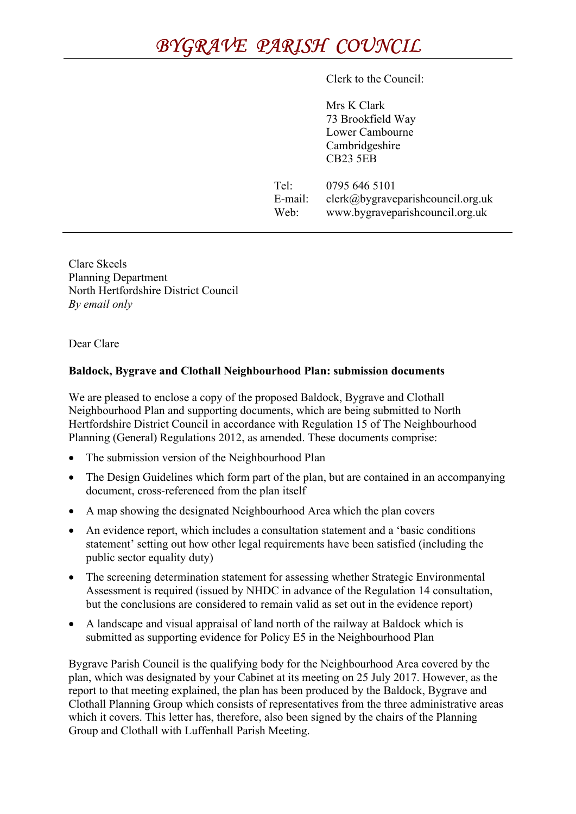## BYGRAVE PARISH COUNCIL

Clerk to the Council:

Mrs K Clark 73 Brookfield Way Lower Cambourne Cambridgeshire CB23 5EB

Tel: 0795 646 5101 E-mail: clerk@bygraveparishcouncil.org.uk Web: www.bygraveparishcouncil.org.uk

Clare Skeels Planning Department North Hertfordshire District Council By email only

Dear Clare

## Baldock, Bygrave and Clothall Neighbourhood Plan: submission documents

We are pleased to enclose a copy of the proposed Baldock, Bygrave and Clothall Neighbourhood Plan and supporting documents, which are being submitted to North Hertfordshire District Council in accordance with Regulation 15 of The Neighbourhood Planning (General) Regulations 2012, as amended. These documents comprise:

- The submission version of the Neighbourhood Plan
- The Design Guidelines which form part of the plan, but are contained in an accompanying document, cross-referenced from the plan itself
- A map showing the designated Neighbourhood Area which the plan covers
- An evidence report, which includes a consultation statement and a 'basic conditions statement' setting out how other legal requirements have been satisfied (including the public sector equality duty)
- The screening determination statement for assessing whether Strategic Environmental Assessment is required (issued by NHDC in advance of the Regulation 14 consultation, but the conclusions are considered to remain valid as set out in the evidence report)
- A landscape and visual appraisal of land north of the railway at Baldock which is submitted as supporting evidence for Policy E5 in the Neighbourhood Plan

Bygrave Parish Council is the qualifying body for the Neighbourhood Area covered by the plan, which was designated by your Cabinet at its meeting on 25 July 2017. However, as the report to that meeting explained, the plan has been produced by the Baldock, Bygrave and Clothall Planning Group which consists of representatives from the three administrative areas which it covers. This letter has, therefore, also been signed by the chairs of the Planning Group and Clothall with Luffenhall Parish Meeting.